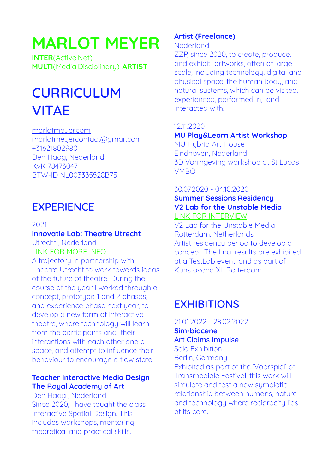# **MARLOT MEYER**

**INTER**(Active|Net)- **MULTI**(Media|Disciplinary)-**ARTIST**

# **CURRICULUM VITAE**

[marlotmeyer.com](http://marlotmeyer.com) [marlotmeyercontact@gmail.com](mailto:marlotmeyercontact@gmail.com) +31621802980 Den Haag, Nederland KvK 78473047 BTW-ID NL003335528B75

# **EXPERIENCE**

2021

### **Innovatie Lab: Theatre Utrecht** Utrecht , Nederland

[LINK FOR MORE INFO](https://www.theaterutrecht.nl/innovatielab/makers/marlot-meyer)

A trajectory in partnership with Theatre Utrecht to work towards ideas of the future of theatre. During the course of the year I worked through a concept, prototype 1 and 2 phases, and experience phase next year, to develop a new form of interactive theatre, where technology will learn from the participants and their interactions with each other and a space, and attempt to influence their behaviour to encourage a flow state.

#### **Teacher Interactive Media Design The Royal Academy of Art**

Den Haag , Nederland Since 2020, I have taught the class Interactive Spatial Design. This includes workshops, mentoring, theoretical and practical skills.

### **Artist (Freelance)**

Nederland

ZZP, since 2020, to create, produce, and exhibit artworks, often of large scale, including technology, digital and physical space, the human body, and natural systems, which can be visited, experienced, performed in, and interacted with.

#### 12.11.2020

#### **MU Play&Learn Artist Workshop**

MU Hybrid Art House Eindhoven, Nederland 3D Vormgeving workshop at St Lucas VMBO.

#### 30.07.2020 - 04.10.2020

#### **Summer Sessions Residency V2 Lab for the Unstable Media** [LINK FOR INTERVIEW](https://v2.nl/archive/articles/interview-with-marlot-meyer/view)

V2 Lab for the Unstable Media Rotterdam, Netherlands Artist residency period to develop a concept. The final results are exhibited at a TestLab event, and as part of Kunstavond XL Rotterdam.

# **EXHIBITIONS**

21.01.2022 - 28.02.2022 **Sim-biocene Art Claims Impulse** 

Solo Exhibition Berlin, Germany

Exhibited as part of the 'Voorspiel' of Transmediale Festival, this work will simulate and test a new sumbiotic relationship between humans, nature and technology where reciprocity lies at its core.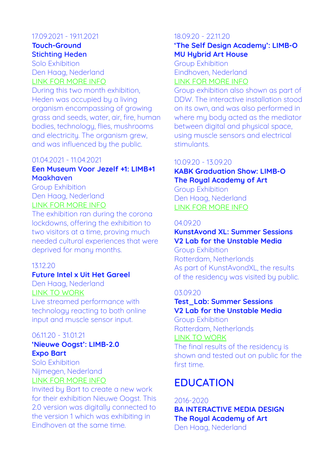#### 17.09.2021 - 19.11.2021 **Touch-Ground Stichting Heden**

Solo Exhibition Den Haag, Nederland [LINK FOR MORE INFO](https://www.heden.nl/tentoonstellingen/touch-ground)

During this two month exhibition, Heden was occupied by a living organism encompassing of growing grass and seeds, water, air, fire, human bodies, technology, flies, mushrooms and electricity. The organism grew, and was influenced by the public.

#### 01.04.2021 - 11.04.2021

#### **Een Museum Voor Jezelf +1: LIMB+1 Maakhaven**

Group Exhibition Den Haag, Nederland [LINK FOR MORE INFO](https://eenmuseumvoorjezelf.online/)

The exhibition ran during the corona lockdowns, offering the exhibition to two visitors at a time, proving much needed cultural experiences that were deprived for many months.

#### 13.12.20

#### **Future Intel x Uit Het Gareel**

Den Haag, Nederland [LINK TO WORK](https://marlotmeyer.com/Links/UHG.html)

Live streamed performance with technology reacting to both online input and muscle sensor input.

#### 06.11.20 - 31.01.21

#### **'Nieuwe Oogst': LIMB-2.0 Expo Bart**

Solo Exhibition Nijmegen, Nederland [LINK FOR MORE INFO](https://www.expobart.nl/archief/komend-nieuwe-oogst-marlot-meyer/)

Invited by Bart to create a new work for their exhibition Nieuwe Oogst. This 2.0 version was digitally connected to the version 1 which was exhibiting in Eindhoven at the same time.

#### 18.09.20 - 22.11.20 **'The Self Design Academy': LIMB-O MU Hubrid Art House**

Group Exhibition Eindhoven, Nederland [LINK FOR MORE INFO](https://www.theselfdesignacademy.nl/en/work/marlotmeyer/)

Group exhibition also shown as part of DDW. The interactive installation stood on its own, and was also performed in where my body acted as the mediator between digital and physical space, using muscle sensors and electrical stimulants.

#### 10.09.20 - 13.09.20

#### **KABK Graduation Show: LIMB-O The Royal Academy of Art**

Group Exhibition Den Haag, Nederland [LINK FOR MORE INFO](https://graduation2020.kabk.nl/students/marlot-meyer)

#### 04.09.20

#### **KunstAvond XL: Summer Sessions V2 Lab for the Unstable Media**

Group Exhibition Rotterdam, Netherlands As part of KunstAvondXL, the results of the residency was visited by public.

#### 03.09.20

#### **Test\_Lab: Summer Sessions V2 Lab for the Unstable Media**

Group Exhibition Rotterdam, Netherlands

#### [LINK TO WORK](https://v2.nl/archive/works/limb-o)

The final results of the residency is shown and tested out on public for the first time.

# **EDUCATION**

2016-2020 **BA INTERACTIVE MEDIA DESIGN The Royal Academy of Art**  Den Haag, Nederland